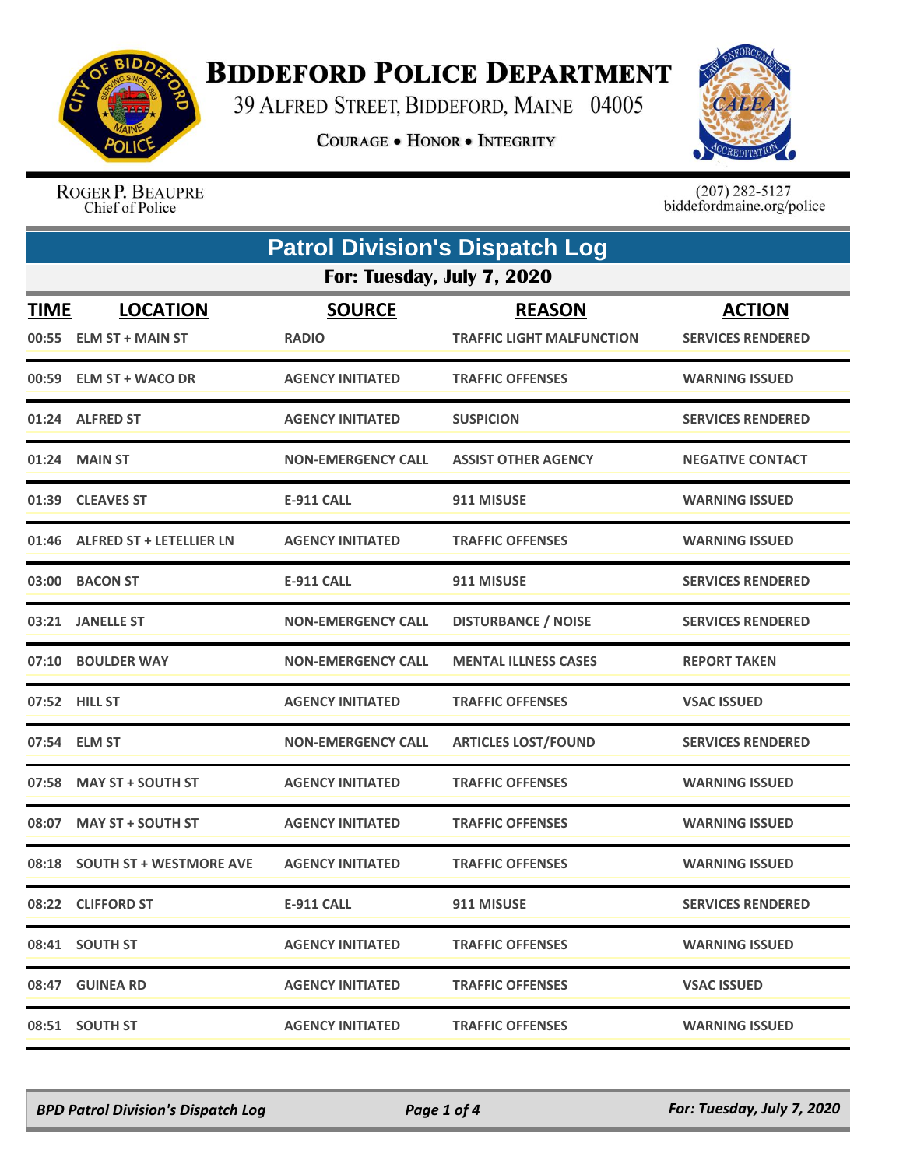

## **BIDDEFORD POLICE DEPARTMENT**

39 ALFRED STREET, BIDDEFORD, MAINE 04005

**COURAGE . HONOR . INTEGRITY** 



ROGER P. BEAUPRE Chief of Police

 $(207)$  282-5127<br>biddefordmaine.org/police

| <b>Patrol Division's Dispatch Log</b> |                                            |                               |                                                   |                                           |
|---------------------------------------|--------------------------------------------|-------------------------------|---------------------------------------------------|-------------------------------------------|
|                                       |                                            | For: Tuesday, July 7, 2020    |                                                   |                                           |
| <b>TIME</b><br>00:55                  | <b>LOCATION</b><br><b>ELM ST + MAIN ST</b> | <b>SOURCE</b><br><b>RADIO</b> | <b>REASON</b><br><b>TRAFFIC LIGHT MALFUNCTION</b> | <b>ACTION</b><br><b>SERVICES RENDERED</b> |
|                                       | 00:59 ELM ST + WACO DR                     | <b>AGENCY INITIATED</b>       | <b>TRAFFIC OFFENSES</b>                           | <b>WARNING ISSUED</b>                     |
|                                       | 01:24 ALFRED ST                            | <b>AGENCY INITIATED</b>       | <b>SUSPICION</b>                                  | <b>SERVICES RENDERED</b>                  |
|                                       | 01:24 MAIN ST                              | <b>NON-EMERGENCY CALL</b>     | <b>ASSIST OTHER AGENCY</b>                        | <b>NEGATIVE CONTACT</b>                   |
| 01:39                                 | <b>CLEAVES ST</b>                          | <b>E-911 CALL</b>             | 911 MISUSE                                        | <b>WARNING ISSUED</b>                     |
|                                       | 01:46 ALFRED ST + LETELLIER LN             | <b>AGENCY INITIATED</b>       | <b>TRAFFIC OFFENSES</b>                           | <b>WARNING ISSUED</b>                     |
|                                       | 03:00 BACON ST                             | <b>E-911 CALL</b>             | 911 MISUSE                                        | <b>SERVICES RENDERED</b>                  |
| 03:21                                 | <b>JANELLE ST</b>                          | <b>NON-EMERGENCY CALL</b>     | <b>DISTURBANCE / NOISE</b>                        | <b>SERVICES RENDERED</b>                  |
|                                       | 07:10 BOULDER WAY                          | <b>NON-EMERGENCY CALL</b>     | <b>MENTAL ILLNESS CASES</b>                       | <b>REPORT TAKEN</b>                       |
|                                       | 07:52 HILL ST                              | <b>AGENCY INITIATED</b>       | <b>TRAFFIC OFFENSES</b>                           | <b>VSAC ISSUED</b>                        |
|                                       | 07:54 ELM ST                               | <b>NON-EMERGENCY CALL</b>     | <b>ARTICLES LOST/FOUND</b>                        | <b>SERVICES RENDERED</b>                  |
| 07:58                                 | <b>MAY ST + SOUTH ST</b>                   | <b>AGENCY INITIATED</b>       | <b>TRAFFIC OFFENSES</b>                           | <b>WARNING ISSUED</b>                     |
| 08:07                                 | <b>MAY ST + SOUTH ST</b>                   | <b>AGENCY INITIATED</b>       | <b>TRAFFIC OFFENSES</b>                           | <b>WARNING ISSUED</b>                     |
| 08:18                                 | <b>SOUTH ST + WESTMORE AVE</b>             | <b>AGENCY INITIATED</b>       | <b>TRAFFIC OFFENSES</b>                           | <b>WARNING ISSUED</b>                     |
|                                       | 08:22 CLIFFORD ST                          | <b>E-911 CALL</b>             | 911 MISUSE                                        | <b>SERVICES RENDERED</b>                  |
|                                       | 08:41 SOUTH ST                             | <b>AGENCY INITIATED</b>       | <b>TRAFFIC OFFENSES</b>                           | <b>WARNING ISSUED</b>                     |
|                                       | 08:47 GUINEA RD                            | <b>AGENCY INITIATED</b>       | <b>TRAFFIC OFFENSES</b>                           | <b>VSAC ISSUED</b>                        |
|                                       | 08:51 SOUTH ST                             | <b>AGENCY INITIATED</b>       | <b>TRAFFIC OFFENSES</b>                           | <b>WARNING ISSUED</b>                     |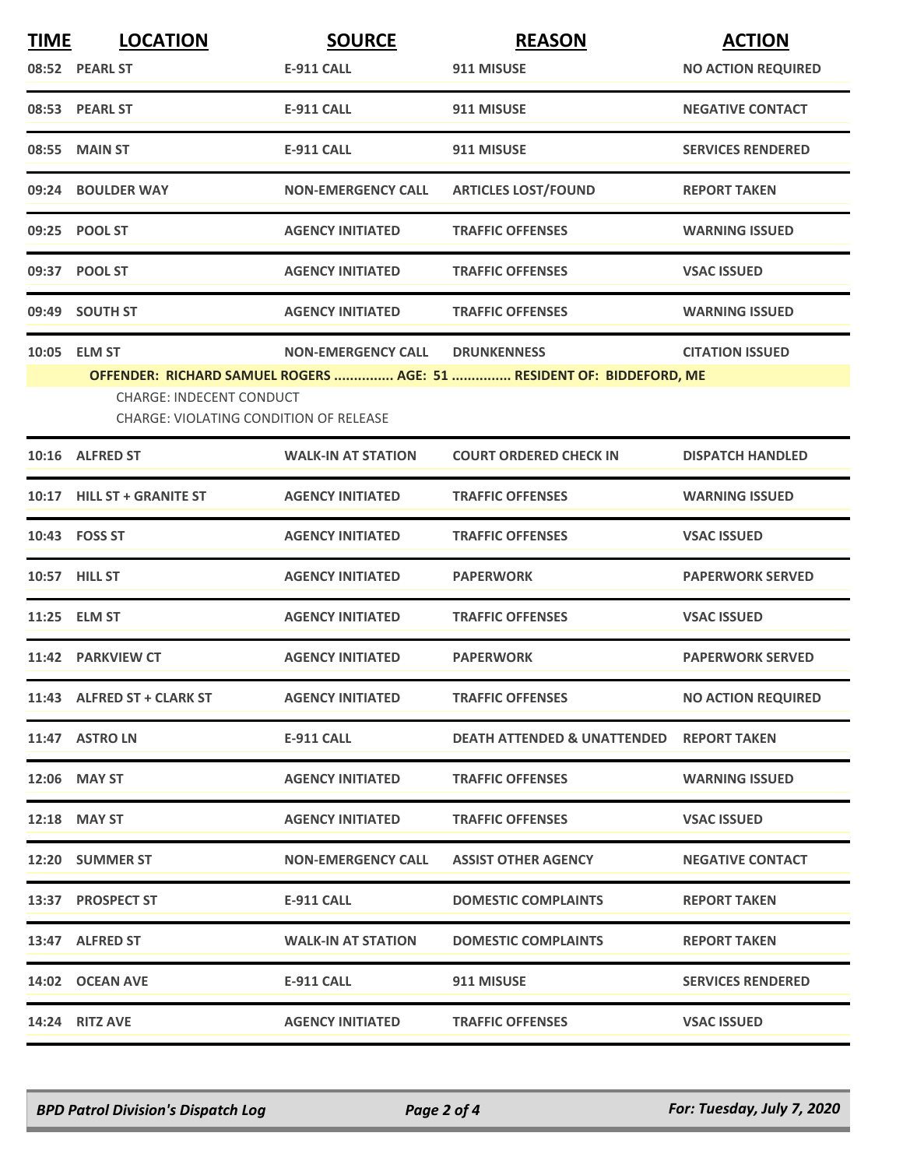| <b>TIME</b> | <b>LOCATION</b>                                 | <b>SOURCE</b>             | <b>REASON</b>                                                                              | <b>ACTION</b>             |
|-------------|-------------------------------------------------|---------------------------|--------------------------------------------------------------------------------------------|---------------------------|
|             | 08:52 PEARL ST                                  | <b>E-911 CALL</b>         | 911 MISUSE                                                                                 | <b>NO ACTION REQUIRED</b> |
|             | 08:53 PEARL ST                                  | <b>E-911 CALL</b>         | 911 MISUSE                                                                                 | <b>NEGATIVE CONTACT</b>   |
|             | 08:55 MAIN ST                                   | <b>E-911 CALL</b>         | 911 MISUSE                                                                                 | <b>SERVICES RENDERED</b>  |
|             | 09:24 BOULDER WAY                               | <b>NON-EMERGENCY CALL</b> | <b>ARTICLES LOST/FOUND</b>                                                                 | <b>REPORT TAKEN</b>       |
|             | 09:25 POOL ST                                   | <b>AGENCY INITIATED</b>   | <b>TRAFFIC OFFENSES</b>                                                                    | <b>WARNING ISSUED</b>     |
|             | 09:37 POOL ST                                   | <b>AGENCY INITIATED</b>   | <b>TRAFFIC OFFENSES</b>                                                                    | <b>VSAC ISSUED</b>        |
|             | 09:49 SOUTH ST                                  | <b>AGENCY INITIATED</b>   | <b>TRAFFIC OFFENSES</b>                                                                    | <b>WARNING ISSUED</b>     |
|             | 10:05 ELM ST<br><b>CHARGE: INDECENT CONDUCT</b> | <b>NON-EMERGENCY CALL</b> | <b>DRUNKENNESS</b><br>OFFENDER: RICHARD SAMUEL ROGERS  AGE: 51  RESIDENT OF: BIDDEFORD, ME | <b>CITATION ISSUED</b>    |
|             | <b>CHARGE: VIOLATING CONDITION OF RELEASE</b>   |                           |                                                                                            |                           |
|             | 10:16 ALFRED ST                                 | <b>WALK-IN AT STATION</b> | <b>COURT ORDERED CHECK IN</b>                                                              | <b>DISPATCH HANDLED</b>   |
|             | 10:17 HILL ST + GRANITE ST                      | <b>AGENCY INITIATED</b>   | <b>TRAFFIC OFFENSES</b>                                                                    | <b>WARNING ISSUED</b>     |
|             | 10:43 FOSS ST                                   | <b>AGENCY INITIATED</b>   | <b>TRAFFIC OFFENSES</b>                                                                    | <b>VSAC ISSUED</b>        |
|             | 10:57 HILL ST                                   | <b>AGENCY INITIATED</b>   | <b>PAPERWORK</b>                                                                           | <b>PAPERWORK SERVED</b>   |
|             | 11:25 ELM ST                                    | <b>AGENCY INITIATED</b>   | <b>TRAFFIC OFFENSES</b>                                                                    | <b>VSAC ISSUED</b>        |
|             | 11:42 PARKVIEW CT                               | <b>AGENCY INITIATED</b>   | <b>PAPERWORK</b>                                                                           | <b>PAPERWORK SERVED</b>   |
|             | 11:43 ALFRED ST + CLARK ST                      | <b>AGENCY INITIATED</b>   | <b>TRAFFIC OFFENSES</b>                                                                    | <b>NO ACTION REQUIRED</b> |
|             | 11:47 ASTRO LN                                  | E-911 CALL                | <b>DEATH ATTENDED &amp; UNATTENDED REPORT TAKEN</b>                                        |                           |
|             | 12:06 MAY ST                                    | <b>AGENCY INITIATED</b>   | <b>TRAFFIC OFFENSES</b>                                                                    | <b>WARNING ISSUED</b>     |
|             | 12:18 MAY ST                                    | <b>AGENCY INITIATED</b>   | <b>TRAFFIC OFFENSES</b>                                                                    | <b>VSAC ISSUED</b>        |
|             | 12:20 SUMMER ST                                 | <b>NON-EMERGENCY CALL</b> | <b>ASSIST OTHER AGENCY</b>                                                                 | <b>NEGATIVE CONTACT</b>   |
|             | 13:37 PROSPECT ST                               | E-911 CALL                | <b>DOMESTIC COMPLAINTS</b>                                                                 | <b>REPORT TAKEN</b>       |
|             | 13:47 ALFRED ST                                 | <b>WALK-IN AT STATION</b> | <b>DOMESTIC COMPLAINTS</b>                                                                 | <b>REPORT TAKEN</b>       |
|             | 14:02 OCEAN AVE                                 | E-911 CALL                | 911 MISUSE                                                                                 | <b>SERVICES RENDERED</b>  |
|             | 14:24 RITZ AVE                                  | <b>AGENCY INITIATED</b>   | <b>TRAFFIC OFFENSES</b>                                                                    | <b>VSAC ISSUED</b>        |

*BPD Patrol Division's Dispatch Log Page 2 of 4 For: Tuesday, July 7, 2020*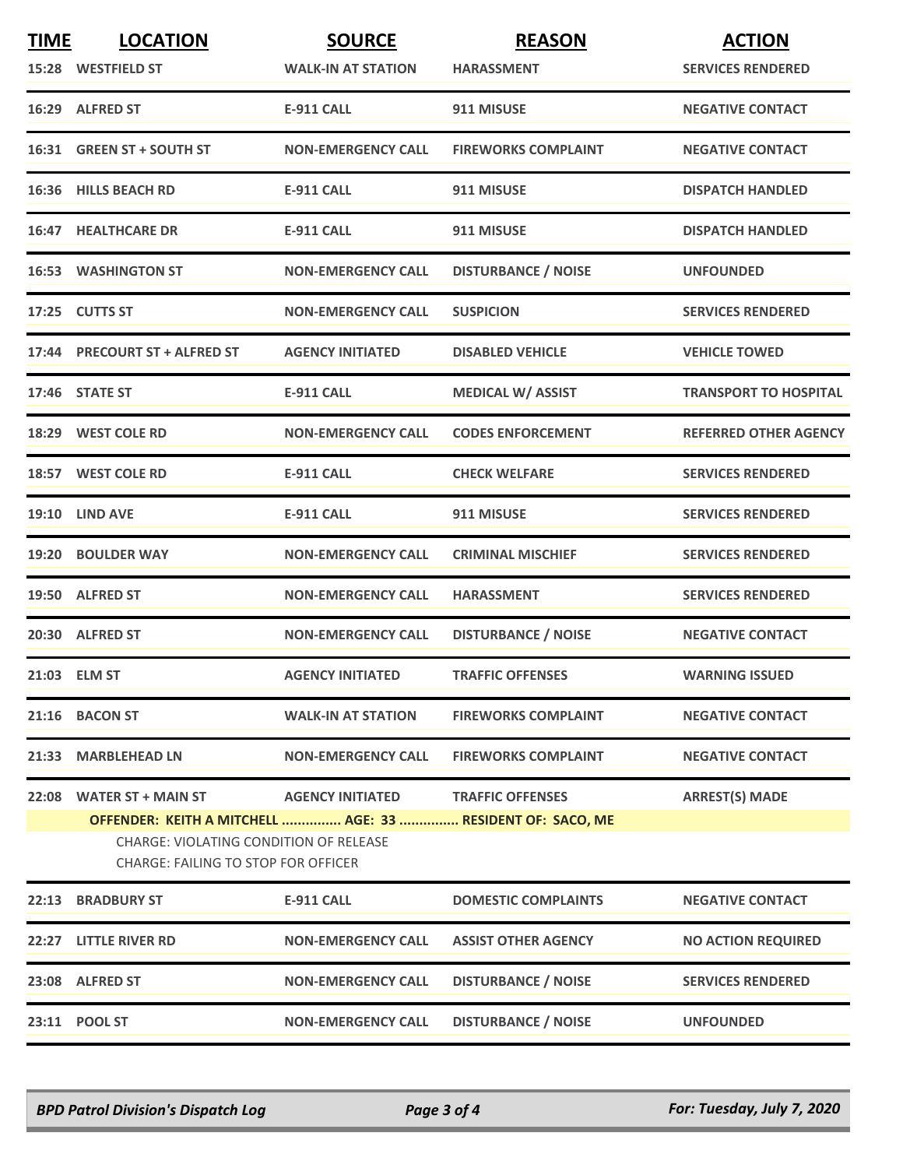| <b>TIME</b> | <b>LOCATION</b>                                                                                                                   | <b>SOURCE</b>             | <b>REASON</b>              | <b>ACTION</b>                |
|-------------|-----------------------------------------------------------------------------------------------------------------------------------|---------------------------|----------------------------|------------------------------|
|             | 15:28 WESTFIELD ST                                                                                                                | <b>WALK-IN AT STATION</b> | <b>HARASSMENT</b>          | <b>SERVICES RENDERED</b>     |
|             | 16:29 ALFRED ST                                                                                                                   | <b>E-911 CALL</b>         | 911 MISUSE                 | <b>NEGATIVE CONTACT</b>      |
|             | 16:31 GREEN ST + SOUTH ST                                                                                                         | <b>NON-EMERGENCY CALL</b> | <b>FIREWORKS COMPLAINT</b> | <b>NEGATIVE CONTACT</b>      |
|             | 16:36 HILLS BEACH RD                                                                                                              | <b>E-911 CALL</b>         | 911 MISUSE                 | <b>DISPATCH HANDLED</b>      |
|             | <b>16:47 HEALTHCARE DR</b>                                                                                                        | <b>E-911 CALL</b>         | 911 MISUSE                 | <b>DISPATCH HANDLED</b>      |
|             | <b>16:53 WASHINGTON ST</b>                                                                                                        | <b>NON-EMERGENCY CALL</b> | <b>DISTURBANCE / NOISE</b> | <b>UNFOUNDED</b>             |
|             | 17:25 CUTTS ST                                                                                                                    | <b>NON-EMERGENCY CALL</b> | <b>SUSPICION</b>           | <b>SERVICES RENDERED</b>     |
|             | 17:44 PRECOURT ST + ALFRED ST                                                                                                     | <b>AGENCY INITIATED</b>   | <b>DISABLED VEHICLE</b>    | <b>VEHICLE TOWED</b>         |
|             | 17:46 STATE ST                                                                                                                    | <b>E-911 CALL</b>         | <b>MEDICAL W/ ASSIST</b>   | <b>TRANSPORT TO HOSPITAL</b> |
|             | 18:29 WEST COLE RD                                                                                                                | <b>NON-EMERGENCY CALL</b> | <b>CODES ENFORCEMENT</b>   | <b>REFERRED OTHER AGENCY</b> |
|             | 18:57 WEST COLE RD                                                                                                                | <b>E-911 CALL</b>         | <b>CHECK WELFARE</b>       | <b>SERVICES RENDERED</b>     |
|             | <b>19:10 LIND AVE</b>                                                                                                             | <b>E-911 CALL</b>         | 911 MISUSE                 | <b>SERVICES RENDERED</b>     |
|             | 19:20 BOULDER WAY                                                                                                                 | <b>NON-EMERGENCY CALL</b> | <b>CRIMINAL MISCHIEF</b>   | <b>SERVICES RENDERED</b>     |
|             | 19:50 ALFRED ST                                                                                                                   | <b>NON-EMERGENCY CALL</b> | <b>HARASSMENT</b>          | <b>SERVICES RENDERED</b>     |
|             | 20:30 ALFRED ST                                                                                                                   | <b>NON-EMERGENCY CALL</b> | <b>DISTURBANCE / NOISE</b> | <b>NEGATIVE CONTACT</b>      |
|             | 21:03 ELM ST                                                                                                                      | <b>AGENCY INITIATED</b>   | <b>TRAFFIC OFFENSES</b>    | <b>WARNING ISSUED</b>        |
|             | 21:16 BACON ST                                                                                                                    | <b>WALK-IN AT STATION</b> | <b>FIREWORKS COMPLAINT</b> | <b>NEGATIVE CONTACT</b>      |
| 21:33       | <b>MARBLEHEAD LN</b>                                                                                                              | <b>NON-EMERGENCY CALL</b> | <b>FIREWORKS COMPLAINT</b> | <b>NEGATIVE CONTACT</b>      |
| 22:08       | <b>WATER ST + MAIN ST</b><br>OFFENDER: KEITH A MITCHELL  AGE: 33  RESIDENT OF: SACO, ME<br>CHARGE: VIOLATING CONDITION OF RELEASE | <b>AGENCY INITIATED</b>   | <b>TRAFFIC OFFENSES</b>    | <b>ARREST(S) MADE</b>        |
|             | <b>CHARGE: FAILING TO STOP FOR OFFICER</b>                                                                                        |                           |                            |                              |
| 22:13       | <b>BRADBURY ST</b>                                                                                                                | <b>E-911 CALL</b>         | <b>DOMESTIC COMPLAINTS</b> | <b>NEGATIVE CONTACT</b>      |
|             | 22:27 LITTLE RIVER RD                                                                                                             | <b>NON-EMERGENCY CALL</b> | <b>ASSIST OTHER AGENCY</b> | <b>NO ACTION REQUIRED</b>    |
|             | 23:08 ALFRED ST                                                                                                                   | <b>NON-EMERGENCY CALL</b> | <b>DISTURBANCE / NOISE</b> | <b>SERVICES RENDERED</b>     |
|             | 23:11 POOL ST                                                                                                                     | <b>NON-EMERGENCY CALL</b> | <b>DISTURBANCE / NOISE</b> | <b>UNFOUNDED</b>             |
|             |                                                                                                                                   |                           |                            |                              |

*BPD Patrol Division's Dispatch Log Page 3 of 4 For: Tuesday, July 7, 2020*